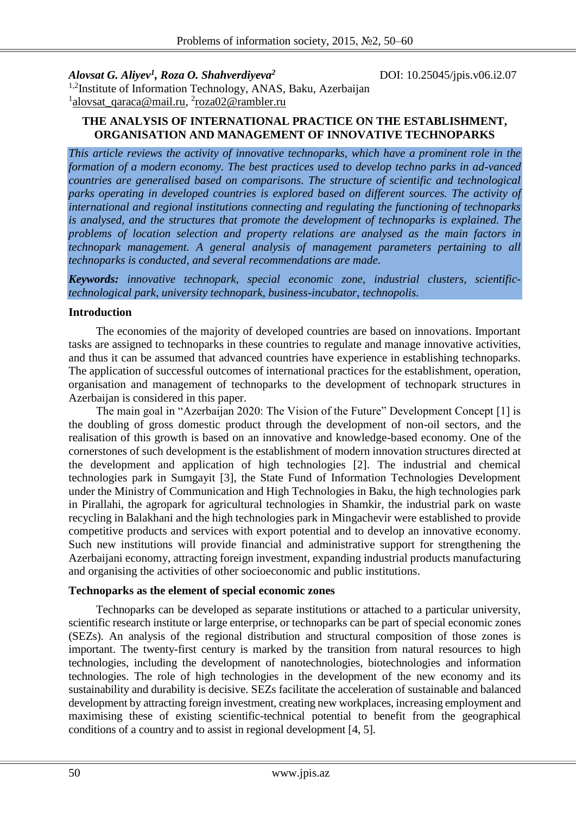*Alovsat G. Aliyev<sup>1</sup>*

*, Roza O. Shahverdiyeva<sup>2</sup>* DOI: 10.25045/jpis.v06.i2.07

<sup>1,2</sup>Institute of Information Technology, ANAS, Baku, Azerbaijan <sup>1</sup>[alovsat\\_qaraca@mail.ru,](mailto:alovsat_qaraca@mail.ru) <sup>2</sup>roza02@rambler.ru

# **THE ANALYSIS OF INTERNATIONAL PRACTICE ON THE ESTABLISHMENT, ORGANISATION AND MANAGEMENT OF INNOVATIVE TECHNOPARKS**

*This article reviews the activity of innovative technoparks, which have a prominent role in the formation of a modern economy. The best practices used to develop techno parks in ad-vanced countries are generalised based on comparisons. The structure of scientific and technological parks operating in developed countries is explored based on different sources. The activity of international and regional institutions connecting and regulating the functioning of technoparks is analysed, and the structures that promote the development of technoparks is explained. The problems of location selection and property relations are analysed as the main factors in technopark management. A general analysis of management parameters pertaining to all technoparks is conducted, and several recommendations are made.* 

*Keywords: innovative technopark, special economic zone, industrial clusters, scientifictechnological park, university technopark, business-incubator, technopolis.*

#### **Introduction**

The economies of the majority of developed countries are based on innovations. Important tasks are assigned to technoparks in these countries to regulate and manage innovative activities, and thus it can be assumed that advanced countries have experience in establishing technoparks. The application of successful outcomes of international practices for the establishment, operation, organisation and management of technoparks to the development of technopark structures in Azerbaijan is considered in this paper.

The main goal in "Azerbaijan 2020: The Vision of the Future" Development Concept [1] is the doubling of gross domestic product through the development of non-oil sectors, and the realisation of this growth is based on an innovative and knowledge-based economy. One of the cornerstones of such development is the establishment of modern innovation structures directed at the development and application of high technologies [2]. The industrial and chemical technologies park in Sumgayit [3], the State Fund of Information Technologies Development under the Ministry of Communication and High Technologies in Baku, the high technologies park in Pirallahi, the agropark for agricultural technologies in Shamkir, the industrial park on waste recycling in Balakhani and the high technologies park in Mingachevir were established to provide competitive products and services with export potential and to develop an innovative economy. Such new institutions will provide financial and administrative support for strengthening the Azerbaijani economy, attracting foreign investment, expanding industrial products manufacturing and organising the activities of other socioeconomic and public institutions.

# **Technoparks as the element of special economic zones**

Technoparks can be developed as separate institutions or attached to a particular university, scientific research institute or large enterprise, or technoparks can be part of special economic zones (SEZs). An analysis of the regional distribution and structural composition of those zones is important. The twenty-first century is marked by the transition from natural resources to high technologies, including the development of nanotechnologies, biotechnologies and information technologies. The role of high technologies in the development of the new economy and its sustainability and durability is decisive. SEZs facilitate the acceleration of sustainable and balanced development by attracting foreign investment, creating new workplaces, increasing employment and maximising these of existing scientific-technical potential to benefit from the geographical conditions of a country and to assist in regional development [4, 5].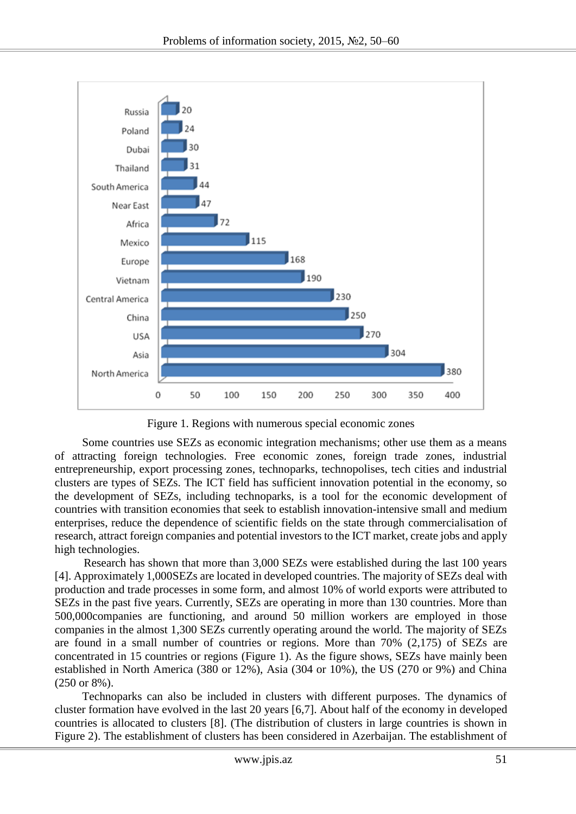

Figure 1. Regions with numerous special economic zones

Some countries use SEZs as economic integration mechanisms; other use them as a means of attracting foreign technologies. Free economic zones, foreign trade zones, industrial entrepreneurship, export processing zones, technoparks, technopolises, tech cities and industrial clusters are types of SEZs. The ICT field has sufficient innovation potential in the economy, so the development of SEZs, including technoparks, is a tool for the economic development of countries with transition economies that seek to establish innovation-intensive small and medium enterprises, reduce the dependence of scientific fields on the state through commercialisation of research, attract foreign companies and potential investors to the ICT market, create jobs and apply high technologies.

Research has shown that more than 3,000 SEZs were established during the last 100 years [4]. Approximately 1,000SEZs are located in developed countries. The majority of SEZs deal with production and trade processes in some form, and almost 10% of world exports were attributed to SEZs in the past five years. Currently, SEZs are operating in more than 130 countries. More than 500,000companies are functioning, and around 50 million workers are employed in those companies in the almost 1,300 SEZs currently operating around the world. The majority of SEZs are found in a small number of countries or regions. More than 70% (2,175) of SEZs are concentrated in 15 countries or regions (Figure 1). As the figure shows, SEZs have mainly been established in North America (380 or 12%), Asia (304 or 10%), the US (270 or 9%) and China (250 or 8%).

Technoparks can also be included in clusters with different purposes. The dynamics of cluster formation have evolved in the last 20 years [6,7]. About half of the economy in developed countries is allocated to clusters [8]. (The distribution of clusters in large countries is shown in Figure 2). The establishment of clusters has been considered in Azerbaijan. The establishment of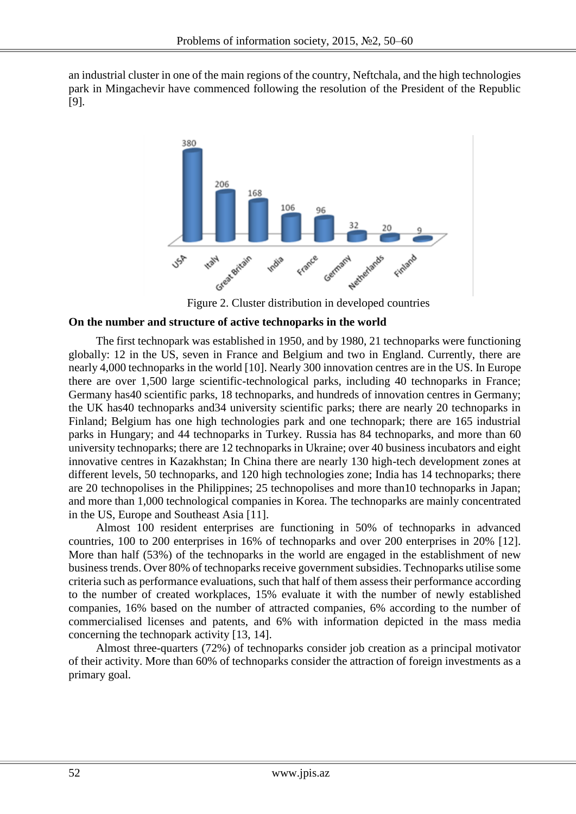an industrial cluster in one of the main regions of the country, Neftchala, and the high technologies park in Mingachevir have commenced following the resolution of the President of the Republic [9].



Figure 2. Cluster distribution in developed countries

#### **On the number and structure of active technoparks in the world**

The first technopark was established in 1950, and by 1980, 21 technoparks were functioning globally: 12 in the US, seven in France and Belgium and two in England. Currently, there are nearly 4,000 technoparks in the world [10]. Nearly 300 innovation centres are in the US. In Europe there are over 1,500 large scientific-technological parks, including 40 technoparks in France; Germany has40 scientific parks, 18 technoparks, and hundreds of innovation centres in Germany; the UK has40 technoparks and34 university scientific parks; there are nearly 20 technoparks in Finland; Belgium has one high technologies park and one technopark; there are 165 industrial parks in Hungary; and 44 technoparks in Turkey. Russia has 84 technoparks, and more than 60 university technoparks; there are 12 technoparks in Ukraine; over 40 business incubators and eight innovative centres in Kazakhstan; In China there are nearly 130 high-tech development zones at different levels, 50 technoparks, and 120 high technologies zone; India has 14 technoparks; there are 20 technopolises in the Philippines; 25 technopolises and more than10 technoparks in Japan; and more than 1,000 technological companies in Korea. The technoparks are mainly concentrated in the US, Europe and Southeast Asia [11].

Almost 100 resident enterprises are functioning in 50% of technoparks in advanced countries, 100 to 200 enterprises in 16% of technoparks and over 200 enterprises in 20% [12]. More than half (53%) of the technoparks in the world are engaged in the establishment of new business trends. Over 80% of technoparks receive government subsidies. Technoparks utilise some criteria such as performance evaluations, such that half of them assess their performance according to the number of created workplaces, 15% evaluate it with the number of newly established companies, 16% based on the number of attracted companies, 6% according to the number of commercialised licenses and patents, and 6% with information depicted in the mass media concerning the technopark activity [13, 14].

Almost three-quarters (72%) of technoparks consider job creation as a principal motivator of their activity. More than 60% of technoparks consider the attraction of foreign investments as a primary goal.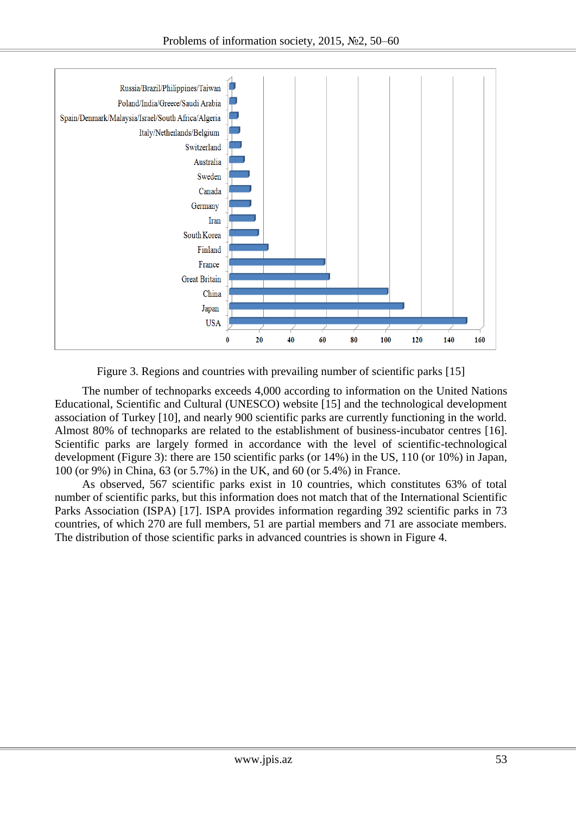

Figure 3. Regions and countries with prevailing number of scientific parks [15]

The number of technoparks exceeds 4,000 according to information on the United Nations Educational, Scientific and Cultural (UNESCO) website [15] and the technological development association of Turkey [10], and nearly 900 scientific parks are currently functioning in the world. Almost 80% of technoparks are related to the establishment of business-incubator centres [16]. Scientific parks are largely formed in accordance with the level of scientific-technological development (Figure 3): there are 150 scientific parks (or 14%) in the US, 110 (or 10%) in Japan, 100 (or 9%) in China, 63 (or 5.7%) in the UK, and 60 (or 5.4%) in France.

As observed, 567 scientific parks exist in 10 countries, which constitutes 63% of total number of scientific parks, but this information does not match that of the International Scientific Parks Association (ISPA) [17]. ISPA provides information regarding 392 scientific parks in 73 countries, of which 270 are full members, 51 are partial members and 71 are associate members. The distribution of those scientific parks in advanced countries is shown in Figure 4.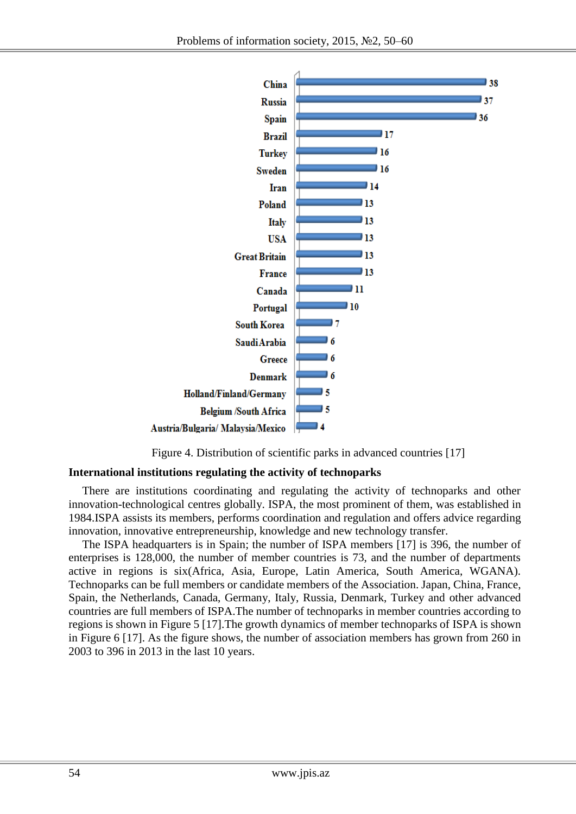

Figure 4. Distribution of scientific parks in advanced countries [17]

#### **International institutions regulating the activity of technoparks**

There are institutions coordinating and regulating the activity of technoparks and other innovation-technological centres globally. ISPA, the most prominent of them, was established in 1984.ISPA assists its members, performs coordination and regulation and offers advice regarding innovation, innovative entrepreneurship, knowledge and new technology transfer.

The ISPA headquarters is in Spain; the number of ISPA members [17] is 396, the number of enterprises is 128,000, the number of member countries is 73, and the number of departments active in regions is six(Africa, Asia, Europe, Latin America, South America, WGANA). Technoparks can be full members or candidate members of the Association. Japan, China, France, Spain, the Netherlands, Canada, Germany, Italy, Russia, Denmark, Turkey and other advanced countries are full members of ISPA.The number of technoparks in member countries according to regions is shown in Figure 5 [17].The growth dynamics of member technoparks of ISPA is shown in Figure 6 [17]. As the figure shows, the number of association members has grown from 260 in 2003 to 396 in 2013 in the last 10 years.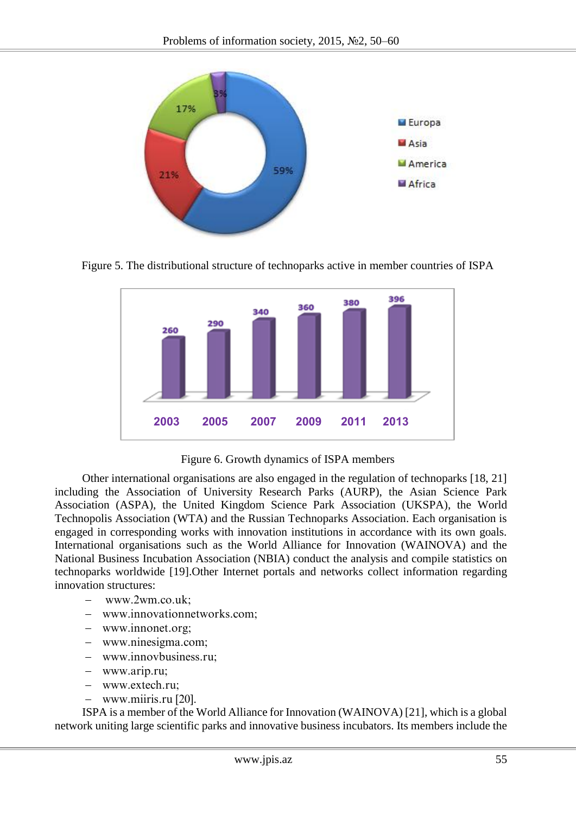

Figure 5. The distributional structure of technoparks active in member countries of ISPA



Figure 6. Growth dynamics of ISPA members

Other international organisations are also engaged in the regulation of technoparks [18, 21] including the Association of University Research Parks (AURP), the Asian Science Park Association (ASPA), the United Kingdom Science Park Association (UKSPA), the World Technopolis Association (WTA) and the Russian Technoparks Association. Each organisation is engaged in corresponding works with innovation institutions in accordance with its own goals. International organisations such as the World Alliance for Innovation (WAINOVA) and the National Business Incubation Association (NBIA) conduct the analysis and compile statistics on technoparks worldwide [19].Other Internet portals and networks collect information regarding innovation structures:

- [www.2wm.co.uk;](http://www.2wm.co.uk/)
- [www.innovationnetworks.com;](http://www.innovationnetworks.com/)
- [www.innonet.org;](http://www.innonet.org/)
- www.ninesigma.com;
- [www.innovbusiness.ru;](http://www.innovbusiness.ru/)
- www.arip.ru;
- [www.extech.ru;](http://www.extech.ru/)
- www.miiris.ru [20].

ISPA is a member of the World Alliance for Innovation (WAINOVA) [21], which is a global network uniting large scientific parks and innovative business incubators. Its members include the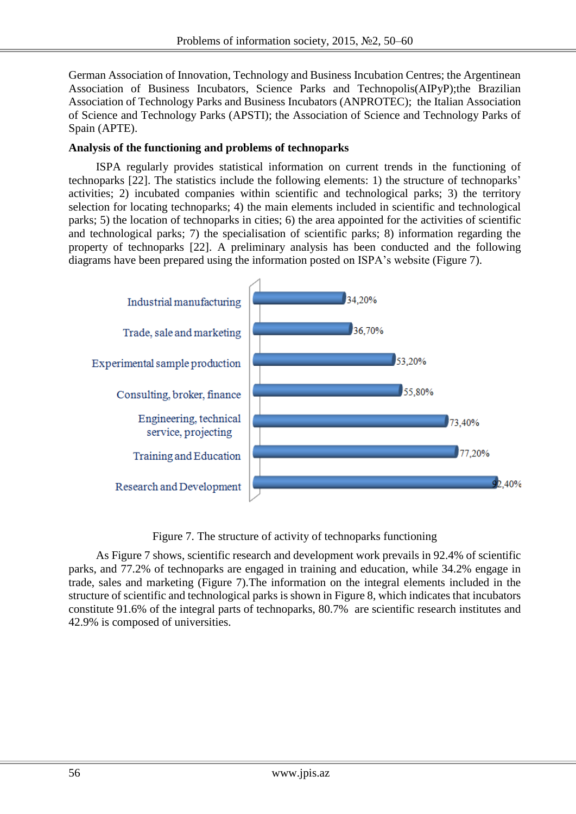German Association of Innovation, Technology and Business Incubation Centres; the Argentinean Association of Business Incubators, Science Parks and Technopolis(AIPyP);the Brazilian Association of Technology Parks and Business Incubators (ANPROTEC); the Italian Association of Science and Technology Parks (APSTI); the Association of Science and Technology Parks of Spain (APTE).

### **Analysis of the functioning and problems of technoparks**

ISPA regularly provides statistical information on current trends in the functioning of technoparks [22]. The statistics include the following elements: 1) the structure of technoparks' activities; 2) incubated companies within scientific and technological parks; 3) the territory selection for locating technoparks; 4) the main elements included in scientific and technological parks; 5) the location of technoparks in cities; 6) the area appointed for the activities of scientific and technological parks; 7) the specialisation of scientific parks; 8) information regarding the property of technoparks [22]. A preliminary analysis has been conducted and the following diagrams have been prepared using the information posted on ISPA's website (Figure 7).



Figure 7. The structure of activity of technoparks functioning

As Figure 7 shows, scientific research and development work prevails in 92.4% of scientific parks, and 77.2% of technoparks are engaged in training and education, while 34.2% engage in trade, sales and marketing (Figure 7).The information on the integral elements included in the structure of scientific and technological parks is shown in Figure 8, which indicates that incubators constitute 91.6% of the integral parts of technoparks, 80.7% are scientific research institutes and 42.9% is composed of universities.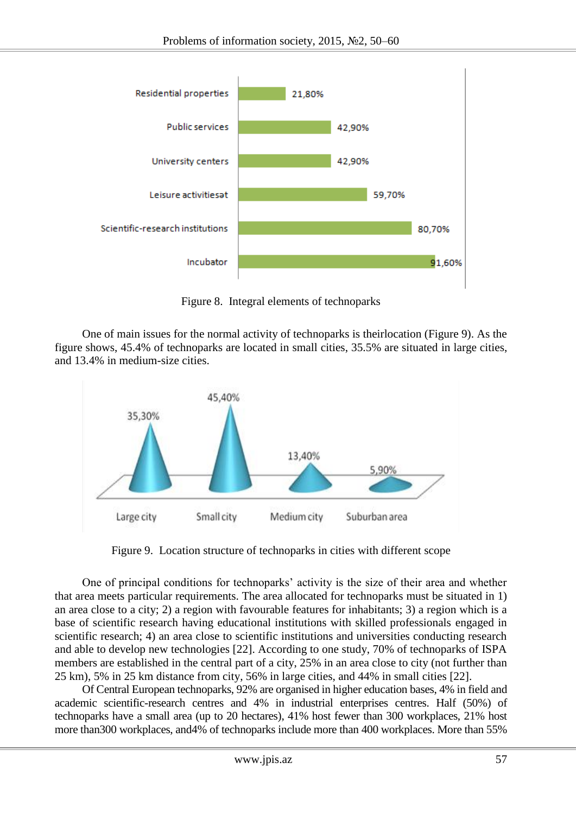

Figure 8. Integral elements of technoparks

One of main issues for the normal activity of technoparks is theirlocation (Figure 9). As the figure shows, 45.4% of technoparks are located in small cities, 35.5% are situated in large cities, and 13.4% in medium-size cities.



Figure 9. Location structure of technoparks in cities with different scope

One of principal conditions for technoparks' activity is the size of their area and whether that area meets particular requirements. The area allocated for technoparks must be situated in 1) an area close to a city; 2) a region with favourable features for inhabitants; 3) a region which is a base of scientific research having educational institutions with skilled professionals engaged in scientific research; 4) an area close to scientific institutions and universities conducting research and able to develop new technologies [22]. According to one study, 70% of technoparks of ISPA members are established in the central part of a city, 25% in an area close to city (not further than 25 km), 5% in 25 km distance from city, 56% in large cities, and 44% in small cities [22].

Of Central European technoparks, 92% are organised in higher education bases, 4% in field and academic scientific-research centres and 4% in industrial enterprises centres. Half (50%) of technoparks have a small area (up to 20 hectares), 41% host fewer than 300 workplaces, 21% host more than300 workplaces, and4% of technoparks include more than 400 workplaces. More than 55%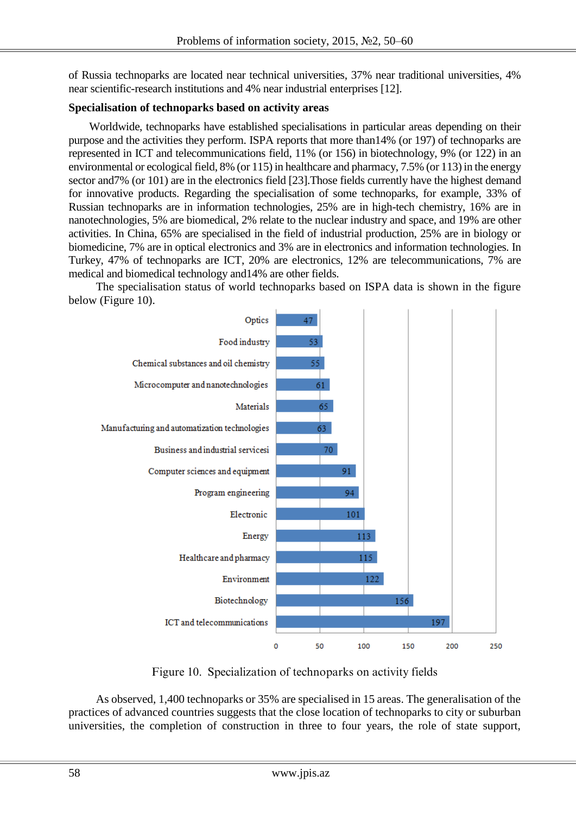of Russia technoparks are located near technical universities, 37% near traditional universities, 4% near scientific-research institutions and 4% near industrial enterprises [12].

# **Specialisation of technoparks based on activity areas**

Worldwide, technoparks have established specialisations in particular areas depending on their purpose and the activities they perform. ISPA reports that more than14% (or 197) of technoparks are represented in ICT and telecommunications field, 11% (or 156) in biotechnology, 9% (or 122) in an environmental or ecological field, 8% (or 115) in healthcare and pharmacy, 7.5% (or 113) in the energy sector and 7% (or 101) are in the electronics field [23]. Those fields currently have the highest demand for innovative products. Regarding the specialisation of some technoparks, for example, 33% of Russian technoparks are in information technologies, 25% are in high-tech chemistry, 16% are in nanotechnologies, 5% are biomedical, 2% relate to the nuclear industry and space, and 19% are other activities. In China, 65% are specialised in the field of industrial production, 25% are in biology or biomedicine, 7% are in optical electronics and 3% are in electronics and information technologies. In Turkey, 47% of technoparks are ICT, 20% are electronics, 12% are telecommunications, 7% are medical and biomedical technology and14% are other fields.

The specialisation status of world technoparks based on ISPA data is shown in the figure below (Figure 10).



Figure 10. Specialization of technoparks on activity fields

As observed, 1,400 technoparks or 35% are specialised in 15 areas. The generalisation of the practices of advanced countries suggests that the close location of technoparks to city or suburban universities, the completion of construction in three to four years, the role of state support,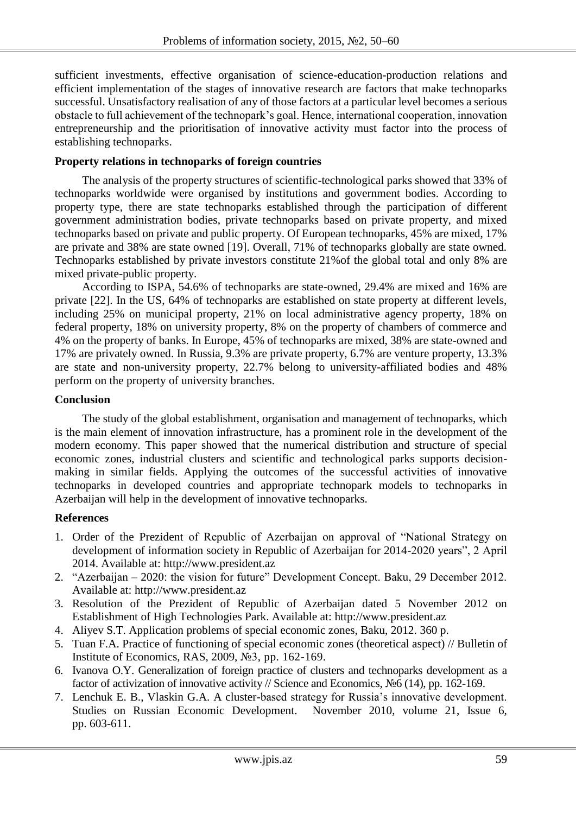sufficient investments, effective organisation of science-education-production relations and efficient implementation of the stages of innovative research are factors that make technoparks successful. Unsatisfactory realisation of any of those factors at a particular level becomes a serious obstacle to full achievement of the technopark's goal. Hence, international cooperation, innovation entrepreneurship and the prioritisation of innovative activity must factor into the process of establishing technoparks.

### **Property relations in technoparks of foreign countries**

The analysis of the property structures of scientific-technological parks showed that 33% of technoparks worldwide were organised by institutions and government bodies. According to property type, there are state technoparks established through the participation of different government administration bodies, private technoparks based on private property, and mixed technoparks based on private and public property. Of European technoparks, 45% are mixed, 17% are private and 38% are state owned [19]. Overall, 71% of technoparks globally are state owned. Technoparks established by private investors constitute 21%of the global total and only 8% are mixed private-public property.

According to ISPA, 54.6% of technoparks are state-owned, 29.4% are mixed and 16% are private [22]. In the US, 64% of technoparks are established on state property at different levels, including 25% on municipal property, 21% on local administrative agency property, 18% on federal property, 18% on university property, 8% on the property of chambers of commerce and 4% on the property of banks. In Europe, 45% of technoparks are mixed, 38% are state-owned and 17% are privately owned. In Russia, 9.3% are private property, 6.7% are venture property, 13.3% are state and non-university property, 22.7% belong to university-affiliated bodies and 48% perform on the property of university branches.

#### **Conclusion**

The study of the global establishment, organisation and management of technoparks, which is the main element of innovation infrastructure, has a prominent role in the development of the modern economy. This paper showed that the numerical distribution and structure of special economic zones, industrial clusters and scientific and technological parks supports decisionmaking in similar fields. Applying the outcomes of the successful activities of innovative technoparks in developed countries and appropriate technopark models to technoparks in Azerbaijan will help in the development of innovative technoparks.

# **References**

- 1. Order of the Prezident of Republic of Azerbaijan on approval of "National Strategy on development of information society in Republic of Azerbaijan for 2014-2020 years", 2 April 2014. Available at: [http://www.president.az](http://www.president.az/)
- 2. "Azerbaijan 2020: the vision for future" Development Concept. Baku, 29 December 2012. Available at: [http://www.president.az](http://www.president.az/)
- 3. Resolution of the Prezident of Republic of Azerbaijan dated 5 November 2012 on Establishment of High Technologies Park. Available at: [http://www.president.az](http://www.president.az/)
- 4. Aliyev S.T. Application problems of special economic zones, Baku, 2012. 360 p.
- 5. Tuan F.A. Practice of functioning of special economic zones (theoretical aspect) // Bulletin of Institute of Economics, RAS, 2009, [№3,](http://elibrary.ru/contents.asp?issueid=640197&selid=12834807) pp. 162-169.
- 6. Ivanova O.Y. Generalization of foreign practice of clusters and technoparks development as a factor of activization of innovative activity // Science and Economics, [№6](http://elibrary.ru/contents.asp?issueid=640197&selid=12834807) (14), pp. 162-169.
- 7. Lenchuk E. B., Vlaskin G.A. A cluster-based strategy for Russia's innovative development. Studies on Russian Economic Development. November 2010, volume 21, Issue 6, pp. 603-611.